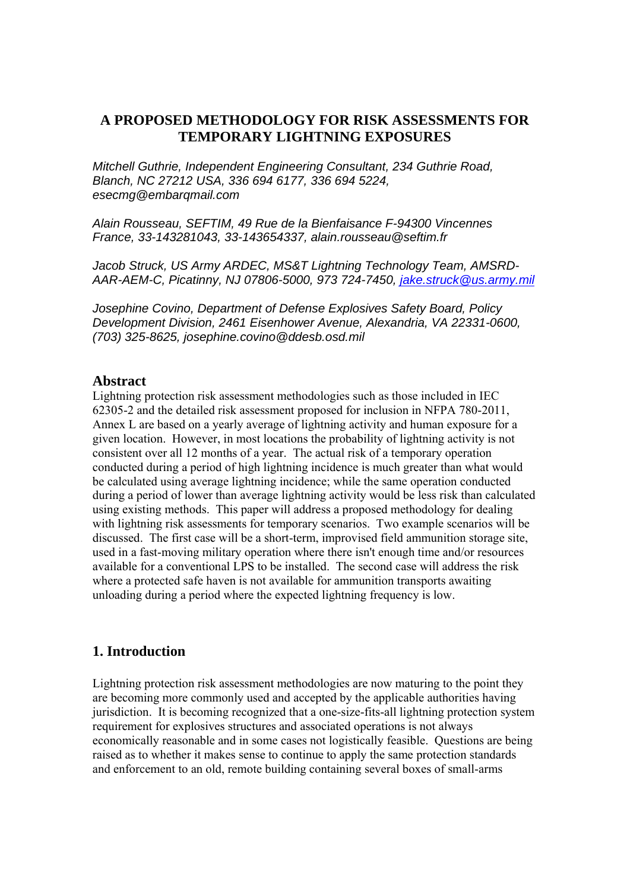# **A PROPOSED METHODOLOGY FOR RISK ASSESSMENTS FOR TEMPORARY LIGHTNING EXPOSURES**

*Mitchell Guthrie, Independent Engineering Consultant, 234 Guthrie Road, Blanch, NC 27212 USA, 336 694 6177, 336 694 5224, esecmg@embarqmail.com* 

*Alain Rousseau, SEFTIM, 49 Rue de la Bienfaisance F-94300 Vincennes France, 33-143281043, 33-143654337, alain.rousseau@seftim.fr* 

*Jacob Struck, US Army ARDEC, MS&T Lightning Technology Team, AMSRD-AAR-AEM-C, Picatinny, NJ 07806-5000, 973 724-7450, jake.struck@us.army.mil*

*Josephine Covino, Department of Defense Explosives Safety Board, Policy Development Division, 2461 Eisenhower Avenue, Alexandria, VA 22331-0600, (703) 325-8625, josephine.covino@ddesb.osd.mil* 

### **Abstract**

Lightning protection risk assessment methodologies such as those included in IEC 62305-2 and the detailed risk assessment proposed for inclusion in NFPA 780-2011, Annex L are based on a yearly average of lightning activity and human exposure for a given location. However, in most locations the probability of lightning activity is not consistent over all 12 months of a year. The actual risk of a temporary operation conducted during a period of high lightning incidence is much greater than what would be calculated using average lightning incidence; while the same operation conducted during a period of lower than average lightning activity would be less risk than calculated using existing methods. This paper will address a proposed methodology for dealing with lightning risk assessments for temporary scenarios. Two example scenarios will be discussed. The first case will be a short-term, improvised field ammunition storage site, used in a fast-moving military operation where there isn't enough time and/or resources available for a conventional LPS to be installed. The second case will address the risk where a protected safe haven is not available for ammunition transports awaiting unloading during a period where the expected lightning frequency is low.

# **1. Introduction**

Lightning protection risk assessment methodologies are now maturing to the point they are becoming more commonly used and accepted by the applicable authorities having jurisdiction. It is becoming recognized that a one-size-fits-all lightning protection system requirement for explosives structures and associated operations is not always economically reasonable and in some cases not logistically feasible. Questions are being raised as to whether it makes sense to continue to apply the same protection standards and enforcement to an old, remote building containing several boxes of small-arms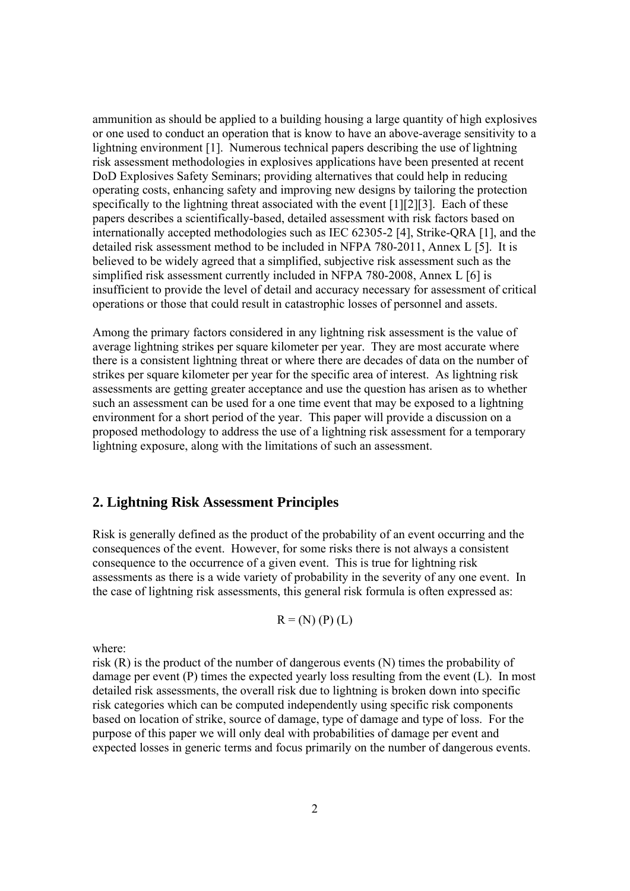ammunition as should be applied to a building housing a large quantity of high explosives or one used to conduct an operation that is know to have an above-average sensitivity to a lightning environment [1]. Numerous technical papers describing the use of lightning risk assessment methodologies in explosives applications have been presented at recent DoD Explosives Safety Seminars; providing alternatives that could help in reducing operating costs, enhancing safety and improving new designs by tailoring the protection specifically to the lightning threat associated with the event [1][2][3]. Each of these papers describes a scientifically-based, detailed assessment with risk factors based on internationally accepted methodologies such as IEC 62305-2 [4], Strike-QRA [1], and the detailed risk assessment method to be included in NFPA 780-2011, Annex L [5]. It is believed to be widely agreed that a simplified, subjective risk assessment such as the simplified risk assessment currently included in NFPA 780-2008, Annex L [6] is insufficient to provide the level of detail and accuracy necessary for assessment of critical operations or those that could result in catastrophic losses of personnel and assets.

Among the primary factors considered in any lightning risk assessment is the value of average lightning strikes per square kilometer per year. They are most accurate where there is a consistent lightning threat or where there are decades of data on the number of strikes per square kilometer per year for the specific area of interest. As lightning risk assessments are getting greater acceptance and use the question has arisen as to whether such an assessment can be used for a one time event that may be exposed to a lightning environment for a short period of the year. This paper will provide a discussion on a proposed methodology to address the use of a lightning risk assessment for a temporary lightning exposure, along with the limitations of such an assessment.

### **2. Lightning Risk Assessment Principles**

Risk is generally defined as the product of the probability of an event occurring and the consequences of the event. However, for some risks there is not always a consistent consequence to the occurrence of a given event. This is true for lightning risk assessments as there is a wide variety of probability in the severity of any one event. In the case of lightning risk assessments, this general risk formula is often expressed as:

$$
R = (N) (P) (L)
$$

where:

risk (R) is the product of the number of dangerous events (N) times the probability of damage per event (P) times the expected yearly loss resulting from the event (L). In most detailed risk assessments, the overall risk due to lightning is broken down into specific risk categories which can be computed independently using specific risk components based on location of strike, source of damage, type of damage and type of loss. For the purpose of this paper we will only deal with probabilities of damage per event and expected losses in generic terms and focus primarily on the number of dangerous events.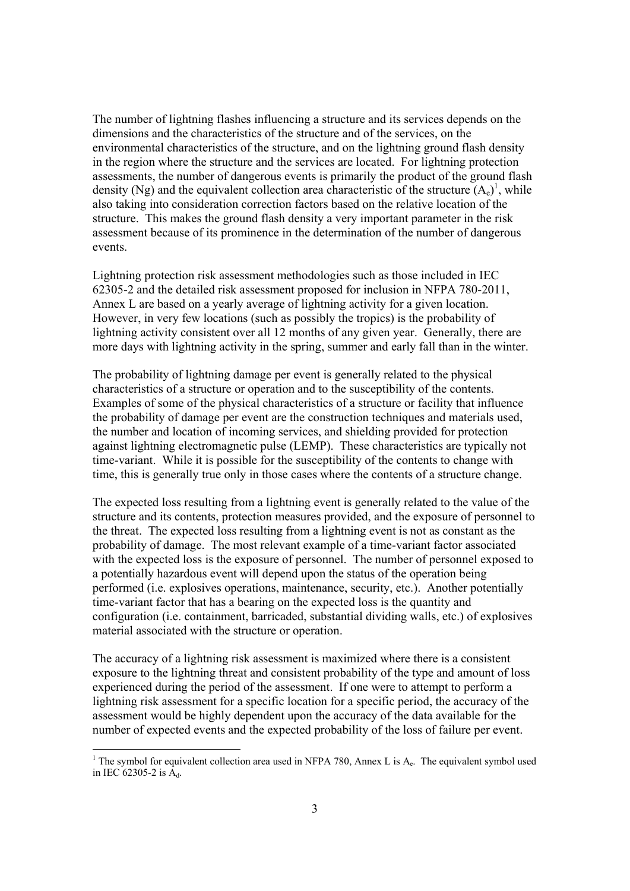The number of lightning flashes influencing a structure and its services depends on the dimensions and the characteristics of the structure and of the services, on the environmental characteristics of the structure, and on the lightning ground flash density in the region where the structure and the services are located. For lightning protection assessments, the number of dangerous events is primarily the product of the ground flash density (Ng) and the equivalent collection area characteristic of the structure  $(A_e)^1$ , while also taking into consideration correction factors based on the relative location of the structure. This makes the ground flash density a very important parameter in the risk assessment because of its prominence in the determination of the number of dangerous events.

Lightning protection risk assessment methodologies such as those included in IEC 62305-2 and the detailed risk assessment proposed for inclusion in NFPA 780-2011, Annex L are based on a yearly average of lightning activity for a given location. However, in very few locations (such as possibly the tropics) is the probability of lightning activity consistent over all 12 months of any given year. Generally, there are more days with lightning activity in the spring, summer and early fall than in the winter.

The probability of lightning damage per event is generally related to the physical characteristics of a structure or operation and to the susceptibility of the contents. Examples of some of the physical characteristics of a structure or facility that influence the probability of damage per event are the construction techniques and materials used, the number and location of incoming services, and shielding provided for protection against lightning electromagnetic pulse (LEMP). These characteristics are typically not time-variant. While it is possible for the susceptibility of the contents to change with time, this is generally true only in those cases where the contents of a structure change.

The expected loss resulting from a lightning event is generally related to the value of the structure and its contents, protection measures provided, and the exposure of personnel to the threat. The expected loss resulting from a lightning event is not as constant as the probability of damage. The most relevant example of a time-variant factor associated with the expected loss is the exposure of personnel. The number of personnel exposed to a potentially hazardous event will depend upon the status of the operation being performed (i.e. explosives operations, maintenance, security, etc.). Another potentially time-variant factor that has a bearing on the expected loss is the quantity and configuration (i.e. containment, barricaded, substantial dividing walls, etc.) of explosives material associated with the structure or operation.

The accuracy of a lightning risk assessment is maximized where there is a consistent exposure to the lightning threat and consistent probability of the type and amount of loss experienced during the period of the assessment. If one were to attempt to perform a lightning risk assessment for a specific location for a specific period, the accuracy of the assessment would be highly dependent upon the accuracy of the data available for the number of expected events and the expected probability of the loss of failure per event.

<sup>&</sup>lt;sup>1</sup> The symbol for equivalent collection area used in NFPA 780, Annex L is  $A_e$ . The equivalent symbol used in IEC  $62305-2$  is  $A<sub>4</sub>$ .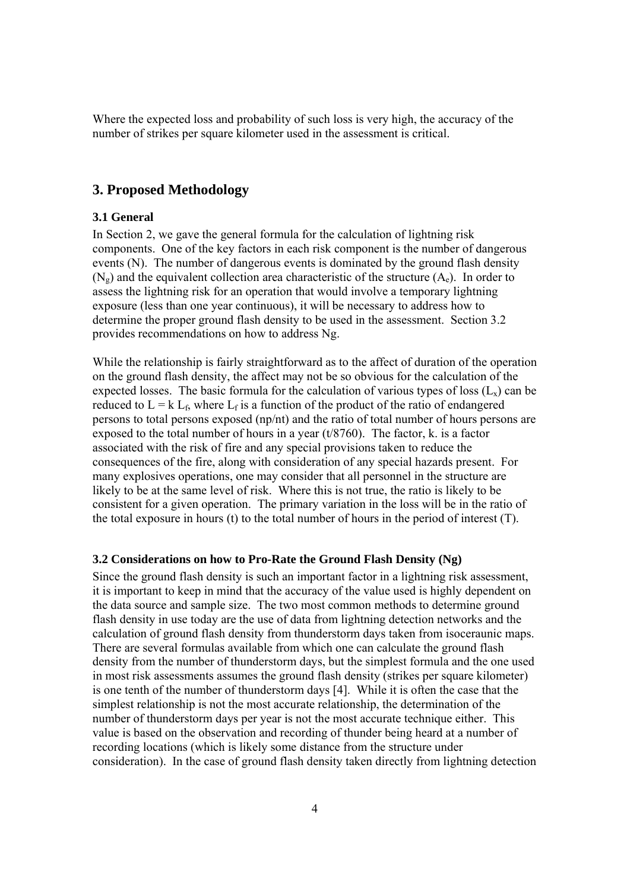Where the expected loss and probability of such loss is very high, the accuracy of the number of strikes per square kilometer used in the assessment is critical.

### **3. Proposed Methodology**

### **3.1 General**

In Section 2, we gave the general formula for the calculation of lightning risk components. One of the key factors in each risk component is the number of dangerous events (N). The number of dangerous events is dominated by the ground flash density  $(N<sub>g</sub>)$  and the equivalent collection area characteristic of the structure  $(A<sub>e</sub>)$ . In order to assess the lightning risk for an operation that would involve a temporary lightning exposure (less than one year continuous), it will be necessary to address how to determine the proper ground flash density to be used in the assessment. Section 3.2 provides recommendations on how to address Ng.

While the relationship is fairly straightforward as to the affect of duration of the operation on the ground flash density, the affect may not be so obvious for the calculation of the expected losses. The basic formula for the calculation of various types of loss  $(L_x)$  can be reduced to  $L = k L_f$ , where  $L_f$  is a function of the product of the ratio of endangered persons to total persons exposed (np/nt) and the ratio of total number of hours persons are exposed to the total number of hours in a year  $(t/8760)$ . The factor, k. is a factor associated with the risk of fire and any special provisions taken to reduce the consequences of the fire, along with consideration of any special hazards present. For many explosives operations, one may consider that all personnel in the structure are likely to be at the same level of risk. Where this is not true, the ratio is likely to be consistent for a given operation. The primary variation in the loss will be in the ratio of the total exposure in hours (t) to the total number of hours in the period of interest  $(T)$ .

#### **3.2 Considerations on how to Pro-Rate the Ground Flash Density (Ng)**

Since the ground flash density is such an important factor in a lightning risk assessment, it is important to keep in mind that the accuracy of the value used is highly dependent on the data source and sample size. The two most common methods to determine ground flash density in use today are the use of data from lightning detection networks and the calculation of ground flash density from thunderstorm days taken from isoceraunic maps. There are several formulas available from which one can calculate the ground flash density from the number of thunderstorm days, but the simplest formula and the one used in most risk assessments assumes the ground flash density (strikes per square kilometer) is one tenth of the number of thunderstorm days [4]. While it is often the case that the simplest relationship is not the most accurate relationship, the determination of the number of thunderstorm days per year is not the most accurate technique either. This value is based on the observation and recording of thunder being heard at a number of recording locations (which is likely some distance from the structure under consideration). In the case of ground flash density taken directly from lightning detection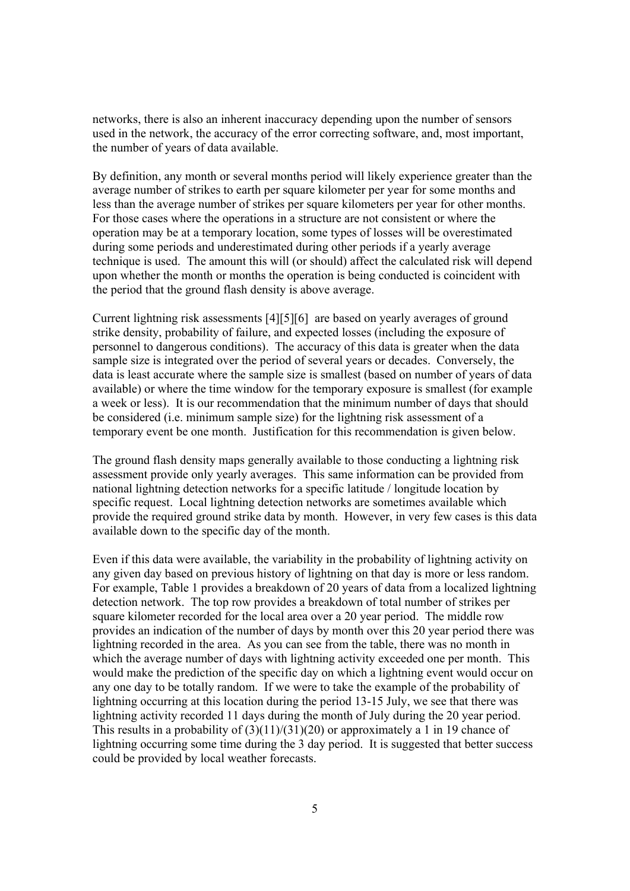networks, there is also an inherent inaccuracy depending upon the number of sensors used in the network, the accuracy of the error correcting software, and, most important, the number of years of data available.

By definition, any month or several months period will likely experience greater than the average number of strikes to earth per square kilometer per year for some months and less than the average number of strikes per square kilometers per year for other months. For those cases where the operations in a structure are not consistent or where the operation may be at a temporary location, some types of losses will be overestimated during some periods and underestimated during other periods if a yearly average technique is used. The amount this will (or should) affect the calculated risk will depend upon whether the month or months the operation is being conducted is coincident with the period that the ground flash density is above average.

Current lightning risk assessments [4][5][6] are based on yearly averages of ground strike density, probability of failure, and expected losses (including the exposure of personnel to dangerous conditions). The accuracy of this data is greater when the data sample size is integrated over the period of several years or decades. Conversely, the data is least accurate where the sample size is smallest (based on number of years of data available) or where the time window for the temporary exposure is smallest (for example a week or less). It is our recommendation that the minimum number of days that should be considered (i.e. minimum sample size) for the lightning risk assessment of a temporary event be one month. Justification for this recommendation is given below.

The ground flash density maps generally available to those conducting a lightning risk assessment provide only yearly averages. This same information can be provided from national lightning detection networks for a specific latitude / longitude location by specific request. Local lightning detection networks are sometimes available which provide the required ground strike data by month. However, in very few cases is this data available down to the specific day of the month.

Even if this data were available, the variability in the probability of lightning activity on any given day based on previous history of lightning on that day is more or less random. For example, Table 1 provides a breakdown of 20 years of data from a localized lightning detection network. The top row provides a breakdown of total number of strikes per square kilometer recorded for the local area over a 20 year period. The middle row provides an indication of the number of days by month over this 20 year period there was lightning recorded in the area. As you can see from the table, there was no month in which the average number of days with lightning activity exceeded one per month. This would make the prediction of the specific day on which a lightning event would occur on any one day to be totally random. If we were to take the example of the probability of lightning occurring at this location during the period 13-15 July, we see that there was lightning activity recorded 11 days during the month of July during the 20 year period. This results in a probability of  $(3)(11)/(31)(20)$  or approximately a 1 in 19 chance of lightning occurring some time during the 3 day period. It is suggested that better success could be provided by local weather forecasts.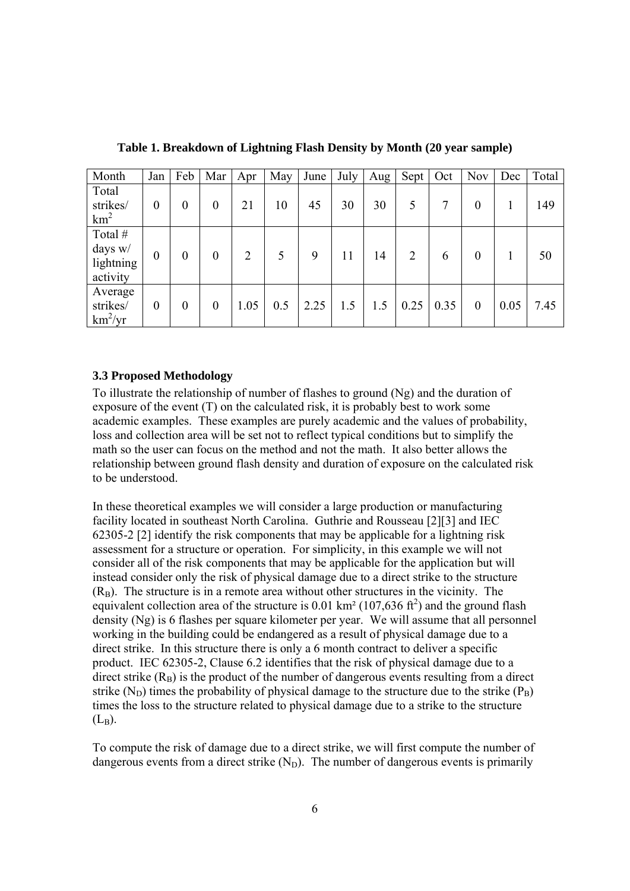| Month                                       | Jan            | Feb            | Mar              | Apr            | May | June | July | Aug | Sept           | Oct  | <b>Nov</b> | Dec  | Total |
|---------------------------------------------|----------------|----------------|------------------|----------------|-----|------|------|-----|----------------|------|------------|------|-------|
| Total                                       |                |                |                  |                |     |      |      |     |                |      |            |      |       |
| strikes/<br>km <sup>2</sup>                 | $\overline{0}$ | $\overline{0}$ | $\boldsymbol{0}$ | 21             | 10  | 45   | 30   | 30  |                | 7    | $\theta$   |      | 149   |
| Total #<br>days w/<br>lightning<br>activity | $\overline{0}$ | $\theta$       | $\overline{0}$   | $\overline{2}$ | 5   | 9    | 11   | 14  | $\overline{2}$ | 6    | $\theta$   |      | 50    |
| Average<br>strikes/<br>$km^2/yr$            | $\theta$       | $\theta$       | $\overline{0}$   | 1.05           | 0.5 | 2.25 | 1.5  | 1.5 | 0.25           | 0.35 | $\theta$   | 0.05 | 7.45  |

**Table 1. Breakdown of Lightning Flash Density by Month (20 year sample)** 

### **3.3 Proposed Methodology**

To illustrate the relationship of number of flashes to ground (Ng) and the duration of exposure of the event (T) on the calculated risk, it is probably best to work some academic examples. These examples are purely academic and the values of probability, loss and collection area will be set not to reflect typical conditions but to simplify the math so the user can focus on the method and not the math. It also better allows the relationship between ground flash density and duration of exposure on the calculated risk to be understood.

In these theoretical examples we will consider a large production or manufacturing facility located in southeast North Carolina. Guthrie and Rousseau [2][3] and IEC 62305-2 [2] identify the risk components that may be applicable for a lightning risk assessment for a structure or operation. For simplicity, in this example we will not consider all of the risk components that may be applicable for the application but will instead consider only the risk of physical damage due to a direct strike to the structure  $(R_B)$ . The structure is in a remote area without other structures in the vicinity. The equivalent collection area of the structure is  $0.01 \text{ km}^2 (107,636 \text{ ft}^2)$  and the ground flash density (Ng) is 6 flashes per square kilometer per year. We will assume that all personnel working in the building could be endangered as a result of physical damage due to a direct strike. In this structure there is only a 6 month contract to deliver a specific product. IEC 62305-2, Clause 6.2 identifies that the risk of physical damage due to a direct strike  $(R_B)$  is the product of the number of dangerous events resulting from a direct strike  $(N_D)$  times the probability of physical damage to the structure due to the strike  $(P_B)$ times the loss to the structure related to physical damage due to a strike to the structure  $(L_{\rm B})$ .

To compute the risk of damage due to a direct strike, we will first compute the number of dangerous events from a direct strike  $(N_D)$ . The number of dangerous events is primarily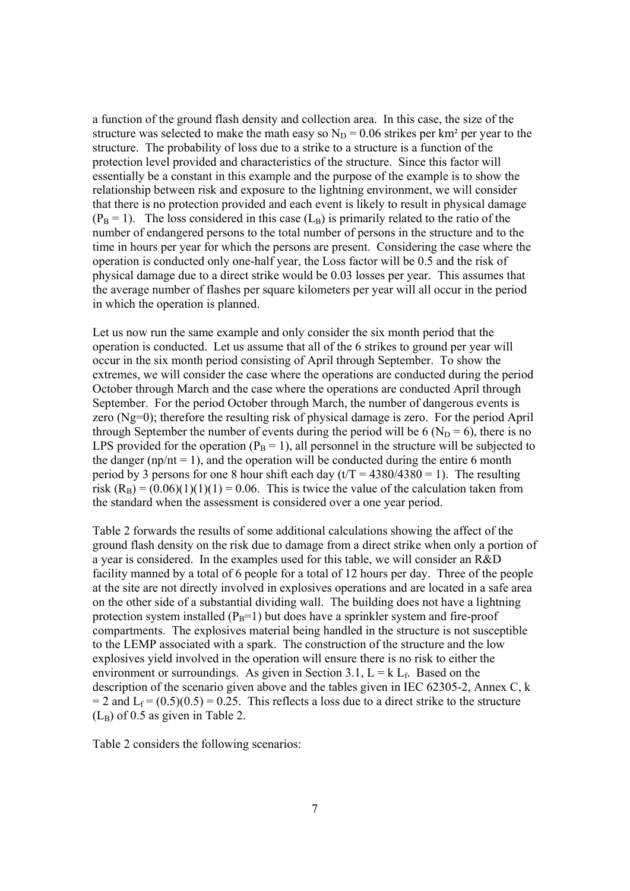a function of the ground flash density and collection area. In this case, the size of the structure was selected to make the math easy so  $N_D = 0.06$  strikes per km<sup>2</sup> per year to the structure. The probability of loss due to a strike to a structure is a function of the protection level provided and characteristics of the structure. Since this factor will essentially be a constant in this example and the purpose of the example is to show the relationship between risk and exposure to the lightning environment, we will consider that there is no protection provided and each event is likely to result in physical damage  $(P_B = 1)$ . The loss considered in this case  $(L_B)$  is primarily related to the ratio of the number of endangered persons to the total number of persons in the structure and to the time in hours per year for which the persons are present. Considering the case where the operation is conducted only one-half year, the Loss factor will be 0.5 and the risk of physical damage due to a direct strike would be 0.03 losses per year. This assumes that the average number of flashes per square kilometers per year will all occur in the period in which the operation is planned.

Let us now run the same example and only consider the six month period that the operation is conducted. Let us assume that all of the 6 strikes to ground per year will occur in the six month period consisting of April through September. To show the extremes, we will consider the case where the operations are conducted during the period October through March and the case where the operations are conducted April through September. For the period October through March, the number of dangerous events is zero (Ng=0); therefore the resulting risk of physical damage is zero. For the period April through September the number of events during the period will be 6 ( $N_D = 6$ ), there is no LPS provided for the operation ( $P_B = 1$ ), all personnel in the structure will be subjected to the danger ( $np/nt = 1$ ), and the operation will be conducted during the entire 6 month period by 3 persons for one 8 hour shift each day  $(t/T = 4380/4380 = 1)$ . The resulting risk  $(R_B) = (0.06)(1)(1)(1) = 0.06$ . This is twice the value of the calculation taken from the standard when the assessment is considered over a one year period.

Table 2 forwards the results of some additional calculations showing the affect of the ground flash density on the risk due to damage from a direct strike when only a portion of a year is considered. In the examples used for this table, we will consider an R&D facility manned by a total of 6 people for a total of 12 hours per day. Three of the people at the site are not directly involved in explosives operations and are located in a safe area on the other side of a substantial dividing wall. The building does not have a lightning protection system installed  $(P_B=1)$  but does have a sprinkler system and fire-proof compartments. The explosives material being handled in the structure is not susceptible to the LEMP associated with a spark. The construction of the structure and the low explosives yield involved in the operation will ensure there is no risk to either the environment or surroundings. As given in Section 3.1,  $L = k L_f$ . Based on the description of the scenario given above and the tables given in IEC 62305-2, Annex C, k  $= 2$  and  $L_f = (0.5)(0.5) = 0.25$ . This reflects a loss due to a direct strike to the structure  $(L_B)$  of 0.5 as given in Table 2.

Table 2 considers the following scenarios: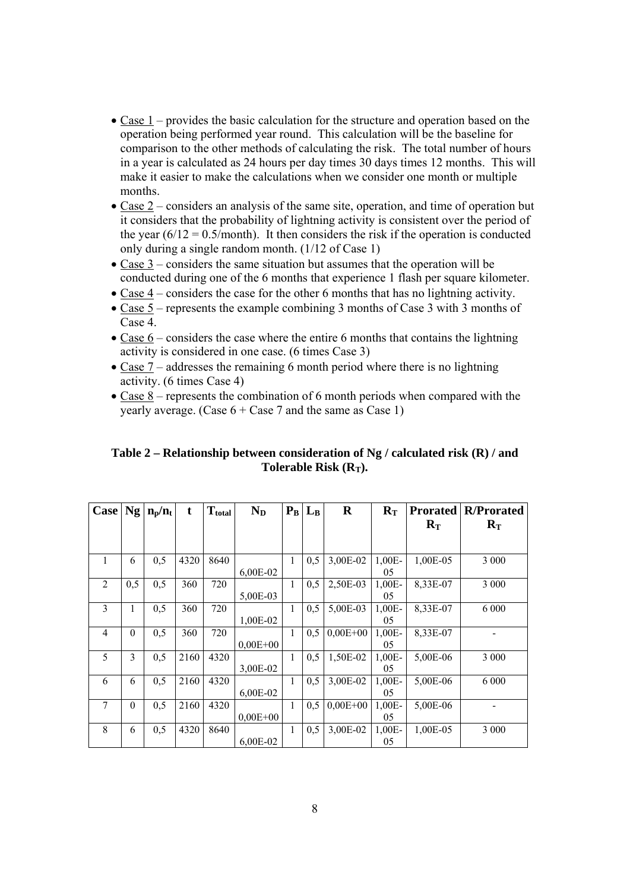- Case 1 provides the basic calculation for the structure and operation based on the operation being performed year round. This calculation will be the baseline for comparison to the other methods of calculating the risk. The total number of hours in a year is calculated as 24 hours per day times 30 days times 12 months. This will make it easier to make the calculations when we consider one month or multiple months.
- Case 2 considers an analysis of the same site, operation, and time of operation but it considers that the probability of lightning activity is consistent over the period of the year  $(6/12 = 0.5/$ month). It then considers the risk if the operation is conducted only during a single random month. (1/12 of Case 1)
- Case 3 considers the same situation but assumes that the operation will be conducted during one of the 6 months that experience 1 flash per square kilometer.
- Case 4 considers the case for the other 6 months that has no lightning activity.
- Case 5 represents the example combining 3 months of Case 3 with 3 months of Case 4.
- Case 6 considers the case where the entire 6 months that contains the lightning activity is considered in one case. (6 times Case 3)
- Case 7 addresses the remaining 6 month period where there is no lightning activity. (6 times Case 4)
- Case 8 represents the combination of 6 month periods when compared with the yearly average. (Case  $6 +$  Case 7 and the same as Case 1)

### **Table 2 – Relationship between consideration of Ng / calculated risk (R) / and**  Tolerable Risk (R<sub>T</sub>).

| Case           | Ng       | $n_{\rm p}/n_{\rm t}$ | t    | $T_{total}$ | $N_D$        | $P_{B}$      | $L_R$ | $\bf R$      | $R_T$    | <b>Prorated</b>           | <b>R/Prorated</b> |
|----------------|----------|-----------------------|------|-------------|--------------|--------------|-------|--------------|----------|---------------------------|-------------------|
|                |          |                       |      |             |              |              |       |              |          | $\mathbf{R}_{\mathrm{T}}$ | $R_{\rm T}$       |
|                |          |                       |      |             |              |              |       |              |          |                           |                   |
| $\mathbf{1}$   | 6        | 0,5                   | 4320 | 8640        |              | $\mathbf{1}$ | 0,5   | 3,00E-02     | 1,00E-   | 1,00E-05                  | 3 0 0 0           |
|                |          |                       |      |             | 6,00E-02     |              |       |              | 05       |                           |                   |
| $\overline{2}$ | 0,5      | 0,5                   | 360  | 720         |              | 1            | 0,5   | 2,50E-03     | 1,00E-   | 8,33E-07                  | 3 0 0 0           |
|                |          |                       |      |             | 5,00E-03     |              |       |              | 05       |                           |                   |
| 3              | 1        | 0,5                   | 360  | 720         |              | 1            | 0,5   | 5,00E-03     | 1,00E-   | 8,33E-07                  | 6 0 0 0           |
|                |          |                       |      |             | 1,00E-02     |              |       |              | 05       |                           |                   |
| $\overline{4}$ | $\theta$ | 0,5                   | 360  | 720         |              | $\mathbf{1}$ | 0,5   | $0,00E + 00$ | $1,00E-$ | 8,33E-07                  |                   |
|                |          |                       |      |             | $0,00E + 00$ |              |       |              | 05       |                           |                   |
| 5              | 3        | 0,5                   | 2160 | 4320        |              | $\mathbf{1}$ | 0,5   | 1,50E-02     | $1,00E-$ | 5,00E-06                  | 3 0 0 0           |
|                |          |                       |      |             | 3,00E-02     |              |       |              | 05       |                           |                   |
| 6              | 6        | 0,5                   | 2160 | 4320        |              | 1            | 0,5   | 3,00E-02     | $1,00E-$ | 5,00E-06                  | 6 0 0 0           |
|                |          |                       |      |             | $6.00E-02$   |              |       |              | 05       |                           |                   |
| 7              | $\theta$ | 0,5                   | 2160 | 4320        |              | $\mathbf{1}$ | 0,5   | $0,00E + 00$ | $1,00E-$ | 5,00E-06                  |                   |
|                |          |                       |      |             | $0,00E + 00$ |              |       |              | 05       |                           |                   |
| 8              | 6        | 0,5                   | 4320 | 8640        |              | $\mathbf{1}$ | 0,5   | 3,00E-02     | 1,00E-   | 1,00E-05                  | 3 0 0 0           |
|                |          |                       |      |             | 6,00E-02     |              |       |              | 05       |                           |                   |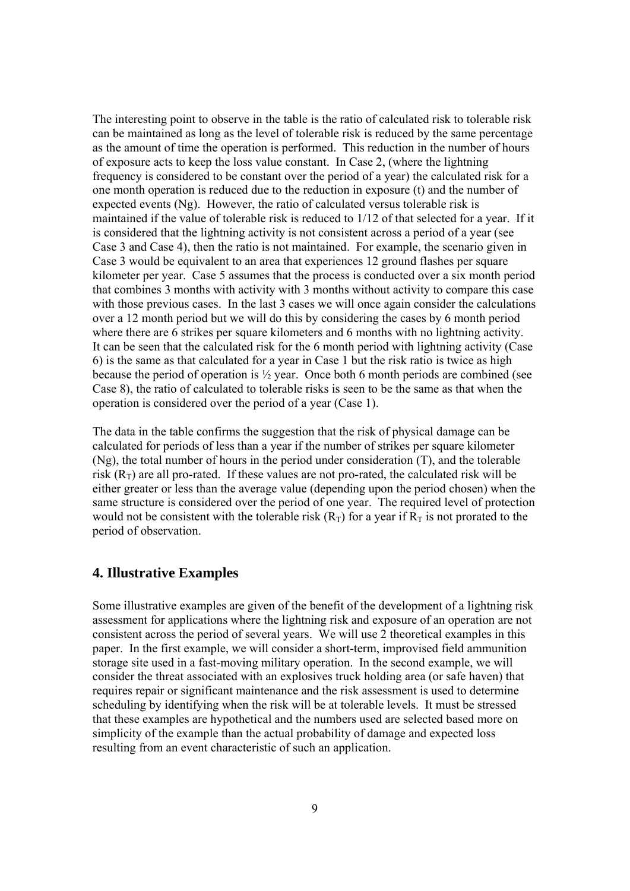The interesting point to observe in the table is the ratio of calculated risk to tolerable risk can be maintained as long as the level of tolerable risk is reduced by the same percentage as the amount of time the operation is performed. This reduction in the number of hours of exposure acts to keep the loss value constant. In Case 2, (where the lightning frequency is considered to be constant over the period of a year) the calculated risk for a one month operation is reduced due to the reduction in exposure (t) and the number of expected events (Ng). However, the ratio of calculated versus tolerable risk is maintained if the value of tolerable risk is reduced to 1/12 of that selected for a year. If it is considered that the lightning activity is not consistent across a period of a year (see Case 3 and Case 4), then the ratio is not maintained. For example, the scenario given in Case 3 would be equivalent to an area that experiences 12 ground flashes per square kilometer per year. Case 5 assumes that the process is conducted over a six month period that combines 3 months with activity with 3 months without activity to compare this case with those previous cases. In the last 3 cases we will once again consider the calculations over a 12 month period but we will do this by considering the cases by 6 month period where there are 6 strikes per square kilometers and 6 months with no lightning activity. It can be seen that the calculated risk for the 6 month period with lightning activity (Case 6) is the same as that calculated for a year in Case 1 but the risk ratio is twice as high because the period of operation is  $\frac{1}{2}$  year. Once both 6 month periods are combined (see Case 8), the ratio of calculated to tolerable risks is seen to be the same as that when the operation is considered over the period of a year (Case 1).

The data in the table confirms the suggestion that the risk of physical damage can be calculated for periods of less than a year if the number of strikes per square kilometer (Ng), the total number of hours in the period under consideration (T), and the tolerable risk  $(R<sub>T</sub>)$  are all pro-rated. If these values are not pro-rated, the calculated risk will be either greater or less than the average value (depending upon the period chosen) when the same structure is considered over the period of one year. The required level of protection would not be consistent with the tolerable risk  $(R_T)$  for a year if  $R_T$  is not prorated to the period of observation.

### **4. Illustrative Examples**

Some illustrative examples are given of the benefit of the development of a lightning risk assessment for applications where the lightning risk and exposure of an operation are not consistent across the period of several years. We will use 2 theoretical examples in this paper. In the first example, we will consider a short-term, improvised field ammunition storage site used in a fast-moving military operation. In the second example, we will consider the threat associated with an explosives truck holding area (or safe haven) that requires repair or significant maintenance and the risk assessment is used to determine scheduling by identifying when the risk will be at tolerable levels. It must be stressed that these examples are hypothetical and the numbers used are selected based more on simplicity of the example than the actual probability of damage and expected loss resulting from an event characteristic of such an application.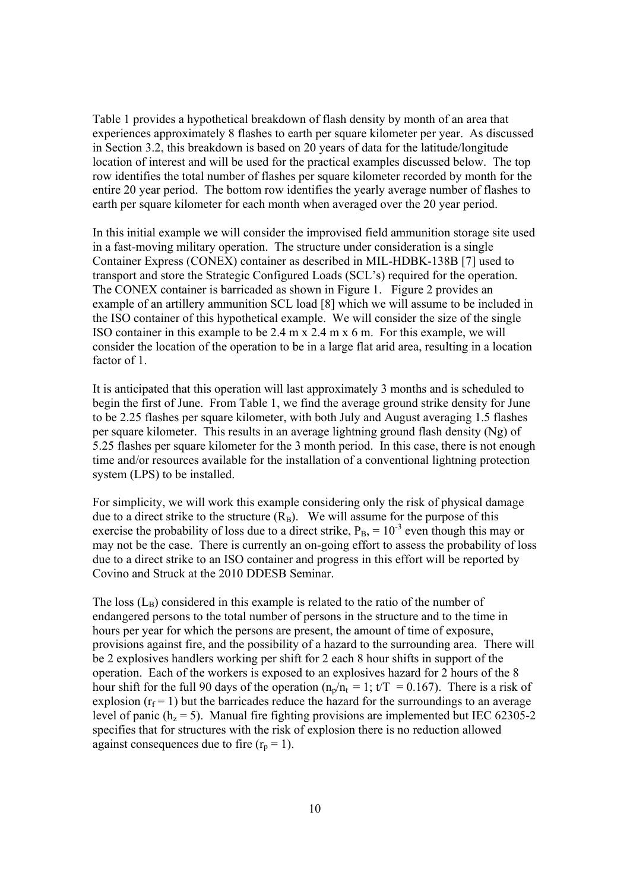Table 1 provides a hypothetical breakdown of flash density by month of an area that experiences approximately 8 flashes to earth per square kilometer per year. As discussed in Section 3.2, this breakdown is based on 20 years of data for the latitude/longitude location of interest and will be used for the practical examples discussed below. The top row identifies the total number of flashes per square kilometer recorded by month for the entire 20 year period. The bottom row identifies the yearly average number of flashes to earth per square kilometer for each month when averaged over the 20 year period.

In this initial example we will consider the improvised field ammunition storage site used in a fast-moving military operation. The structure under consideration is a single Container Express (CONEX) container as described in MIL-HDBK-138B [7] used to transport and store the Strategic Configured Loads (SCL's) required for the operation. The CONEX container is barricaded as shown in Figure 1. Figure 2 provides an example of an artillery ammunition SCL load [8] which we will assume to be included in the ISO container of this hypothetical example. We will consider the size of the single ISO container in this example to be 2.4 m x 2.4 m x 6 m. For this example, we will consider the location of the operation to be in a large flat arid area, resulting in a location factor of 1.

It is anticipated that this operation will last approximately 3 months and is scheduled to begin the first of June. From Table 1, we find the average ground strike density for June to be 2.25 flashes per square kilometer, with both July and August averaging 1.5 flashes per square kilometer. This results in an average lightning ground flash density (Ng) of 5.25 flashes per square kilometer for the 3 month period. In this case, there is not enough time and/or resources available for the installation of a conventional lightning protection system (LPS) to be installed.

For simplicity, we will work this example considering only the risk of physical damage due to a direct strike to the structure  $(R_B)$ . We will assume for the purpose of this exercise the probability of loss due to a direct strike,  $P_{\text{B}} = 10^{-3}$  even though this may or may not be the case. There is currently an on-going effort to assess the probability of loss due to a direct strike to an ISO container and progress in this effort will be reported by Covino and Struck at the 2010 DDESB Seminar.

The loss  $(L_B)$  considered in this example is related to the ratio of the number of endangered persons to the total number of persons in the structure and to the time in hours per year for which the persons are present, the amount of time of exposure, provisions against fire, and the possibility of a hazard to the surrounding area. There will be 2 explosives handlers working per shift for 2 each 8 hour shifts in support of the operation. Each of the workers is exposed to an explosives hazard for 2 hours of the 8 hour shift for the full 90 days of the operation  $(n_p/n_t = 1; t/T = 0.167)$ . There is a risk of explosion  $(r_f = 1)$  but the barricades reduce the hazard for the surroundings to an average level of panic ( $h_z = 5$ ). Manual fire fighting provisions are implemented but IEC 62305-2 specifies that for structures with the risk of explosion there is no reduction allowed against consequences due to fire  $(r_p = 1)$ .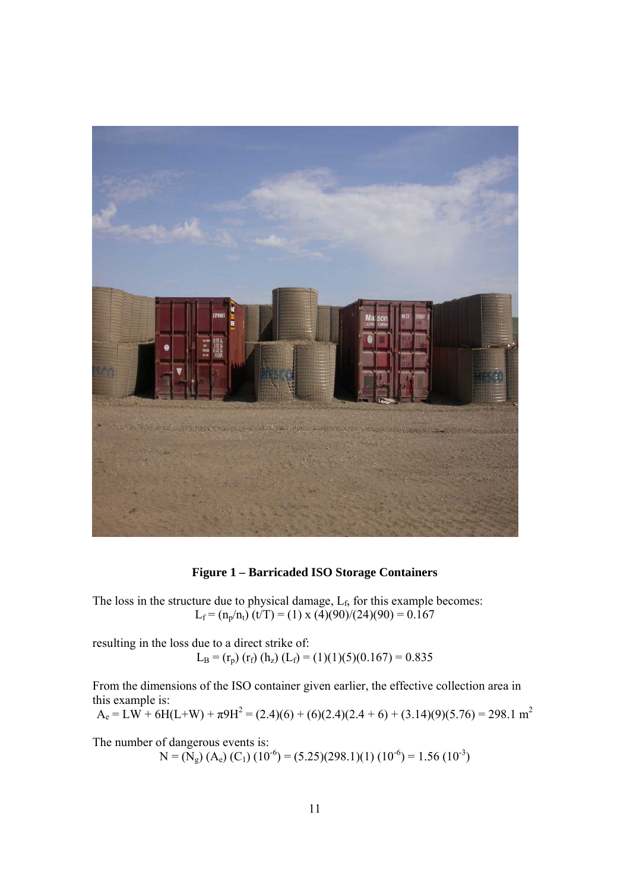

**Figure 1 – Barricaded ISO Storage Containers** 

The loss in the structure due to physical damage, L<sub>f</sub>, for this example becomes:  $L_f = (n_p/n_t)(t/T) = (1) \times (4)(90)/(24)(90) = 0.167$ 

resulting in the loss due to a direct strike of:  $L_B = (r_p) (r_f) (h_z) (L_f) = (1)(1)(5)(0.167) = 0.835$ 

From the dimensions of the ISO container given earlier, the effective collection area in this example is:

$$
A_e = LW + 6H(L+W) + \pi 9H^2 = (2.4)(6) + (6)(2.4)(2.4 + 6) + (3.14)(9)(5.76) = 298.1 \text{ m}^2
$$

The number of dangerous events is:

 $N = (N_g) (A_e) (C_1) (10^{-6}) = (5.25)(298.1)(1) (10^{-6}) = 1.56 (10^{-3})$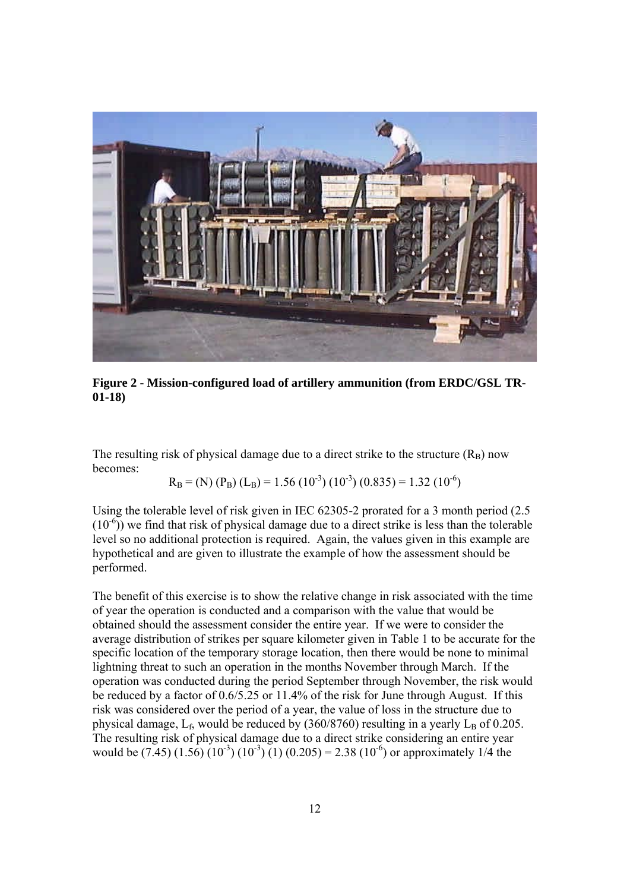

**Figure 2 - Mission-configured load of artillery ammunition (from ERDC/GSL TR-01-18)** 

The resulting risk of physical damage due to a direct strike to the structure  $(R_B)$  now becomes:

 $R_B = (N) (P_B) (L_B) = 1.56 (10^{-3}) (10^{-3}) (0.835) = 1.32 (10^{-6})$ 

Using the tolerable level of risk given in IEC 62305-2 prorated for a 3 month period (2.5  $(10^{-6})$ ) we find that risk of physical damage due to a direct strike is less than the tolerable level so no additional protection is required. Again, the values given in this example are hypothetical and are given to illustrate the example of how the assessment should be performed.

The benefit of this exercise is to show the relative change in risk associated with the time of year the operation is conducted and a comparison with the value that would be obtained should the assessment consider the entire year. If we were to consider the average distribution of strikes per square kilometer given in Table 1 to be accurate for the specific location of the temporary storage location, then there would be none to minimal lightning threat to such an operation in the months November through March. If the operation was conducted during the period September through November, the risk would be reduced by a factor of 0.6/5.25 or 11.4% of the risk for June through August. If this risk was considered over the period of a year, the value of loss in the structure due to physical damage,  $L_f$ , would be reduced by (360/8760) resulting in a yearly  $L_B$  of 0.205. The resulting risk of physical damage due to a direct strike considering an entire year would be (7.45) (1.56) (10<sup>-3</sup>) (10<sup>-3</sup>) (1) (0.205) = 2.38 (10<sup>-6</sup>) or approximately 1/4 the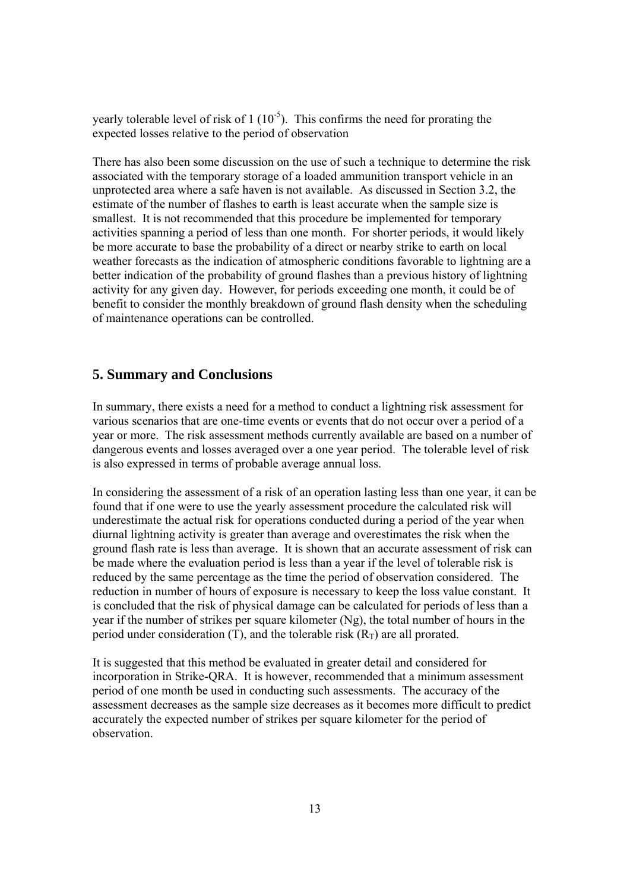yearly tolerable level of risk of  $1 (10^{-5})$ . This confirms the need for prorating the expected losses relative to the period of observation

There has also been some discussion on the use of such a technique to determine the risk associated with the temporary storage of a loaded ammunition transport vehicle in an unprotected area where a safe haven is not available. As discussed in Section 3.2, the estimate of the number of flashes to earth is least accurate when the sample size is smallest. It is not recommended that this procedure be implemented for temporary activities spanning a period of less than one month. For shorter periods, it would likely be more accurate to base the probability of a direct or nearby strike to earth on local weather forecasts as the indication of atmospheric conditions favorable to lightning are a better indication of the probability of ground flashes than a previous history of lightning activity for any given day. However, for periods exceeding one month, it could be of benefit to consider the monthly breakdown of ground flash density when the scheduling of maintenance operations can be controlled.

### **5. Summary and Conclusions**

In summary, there exists a need for a method to conduct a lightning risk assessment for various scenarios that are one-time events or events that do not occur over a period of a year or more. The risk assessment methods currently available are based on a number of dangerous events and losses averaged over a one year period. The tolerable level of risk is also expressed in terms of probable average annual loss.

In considering the assessment of a risk of an operation lasting less than one year, it can be found that if one were to use the yearly assessment procedure the calculated risk will underestimate the actual risk for operations conducted during a period of the year when diurnal lightning activity is greater than average and overestimates the risk when the ground flash rate is less than average. It is shown that an accurate assessment of risk can be made where the evaluation period is less than a year if the level of tolerable risk is reduced by the same percentage as the time the period of observation considered. The reduction in number of hours of exposure is necessary to keep the loss value constant. It is concluded that the risk of physical damage can be calculated for periods of less than a year if the number of strikes per square kilometer (Ng), the total number of hours in the period under consideration (T), and the tolerable risk  $(R_T)$  are all prorated.

It is suggested that this method be evaluated in greater detail and considered for incorporation in Strike-QRA. It is however, recommended that a minimum assessment period of one month be used in conducting such assessments. The accuracy of the assessment decreases as the sample size decreases as it becomes more difficult to predict accurately the expected number of strikes per square kilometer for the period of observation.